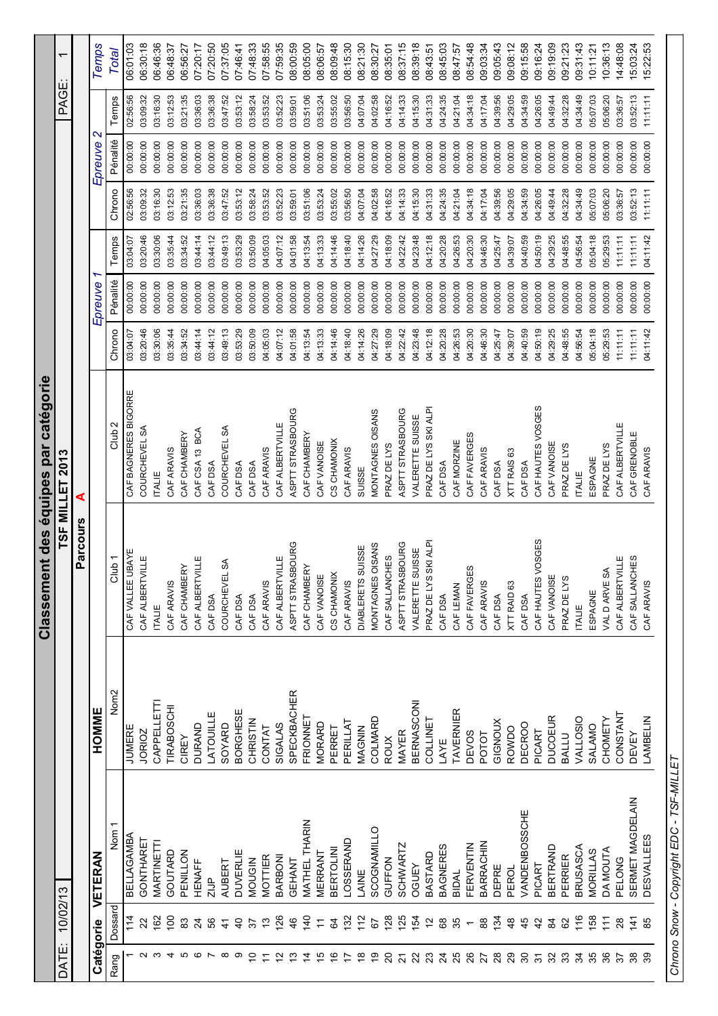|                            |                 |                   |                    | Classement des équipes par catégorie |                      |          |          |          |          |                   |          |                          |
|----------------------------|-----------------|-------------------|--------------------|--------------------------------------|----------------------|----------|----------|----------|----------|-------------------|----------|--------------------------|
| DATE:                      | 10/02/13        |                   |                    |                                      | TSF MILLET 2013      |          |          |          |          |                   | PAGE:    | $\overline{\phantom{0}}$ |
|                            |                 |                   |                    | Parcours                             | ⋖                    |          |          |          |          |                   |          |                          |
| Catégorie                  |                 | <b>VETERAN</b>    | HOMME              |                                      |                      |          | Epreuve  |          |          | $\sim$<br>Epreuve |          | Temps                    |
| Rang                       | Dossard         | Nom <sub>1</sub>  | Nom <sub>2</sub>   | Club <sub>1</sub>                    | Club <sub>2</sub>    | Chrono   | Pénalité | Temps    | Chrono   | Pénalité          | Temps    | Total                    |
|                            | 114             | BELLAGAMBA        | <b>JUMERE</b>      | CAF VALLEE UBAYE                     | CAF BAGNERES BIGORRE | 03:04:07 | 00:00:00 | 03:04:07 | 02:56:56 | 00:00:00          | 02:56:56 | 06:01:03                 |
|                            | 22              | GONTHARET         | <b>JORICZ</b>      | CAF ALBERTVILLE                      | COURCHEVEL SA        | 03:20:46 | 00:00:00 | 03:20:46 | 03:09:32 | 00:00:00          | 03:09:32 | 06:30:18                 |
|                            | 162             | MARTINETTI        | CAPPELLETT         | <b>ITALIE</b>                        | <b>TALE</b>          | 03:30:06 | 00:00:00 | 03:30:06 | 03:16:30 | 00:00:00          | 03:16:30 | 06:46:36                 |
|                            | 100             | GOUTARD           | <b>TIRABOSCHI</b>  | CAF ARAVIS                           | CAF ARAVIS           | 03:35:44 | 00:00:00 | 03:35:44 | 03:12:53 | 00:00:00          | 03:12:53 | 06:48:37                 |
|                            | 83              | PENILLON          | CIREY              | CAF CHAMBERY                         | CAF CHAMBERY         | 03:34:52 | 00:00:00 | 03:34:52 | 03:21:35 | 00:00:00          | 03:21:35 | 06:56:27                 |
|                            | $\overline{2}$  | <b>HENAFF</b>     | <b>DURAND</b>      | CAF ALBERTVILLE                      | CAF CSA 13 BCA       | 03:44:14 | 00:00:00 | 03:44:14 | 03:36:03 | 00:00:00          | 03:36:03 | 07:20:17                 |
|                            | 85              | $21$ JP           | LATOUILLE          | CAF DSA                              | CAF DSA              | 03:44:12 | 00:00:00 | 03:44:12 | 03:36:38 | 00:00:00          | 03:36:38 | 07:20:50                 |
| $\infty$                   | $\frac{4}{5}$   | <b>AUBERT</b>     | SOYARD             | રુ<br>COURCHEVEL                     | COURCHEVEL SA        | 03:49:13 | 00:00:00 | 03:49:13 | 03:47:52 | 00:00:00          | 03:47:52 | 07:37:05                 |
| စာ                         | $\overline{4}$  | <b>DUVERLIE</b>   | <b>BORGHESE</b>    | CAF DSA                              | CAF DSA              | 03:53:29 | 00:00:00 | 03:53:29 | 03:53:12 | 00:00:00          | 03:53:12 | 07:46:41                 |
| ₫                          | 57              | <b>MOUGIN</b>     | <b>CHRISTIN</b>    | CAF DSA                              | CAF DSA              | 03:50:09 | 00:00:00 | 03:50:09 | 03:58:24 | 00:00:00          | 03:58:24 | 07:48:33                 |
| Ξ                          | $\frac{3}{2}$   | MOTTIER           | CONTAT             | CAF ARAVIS                           | CAF ARAVIS           | 04:05:03 | 00:00:00 | 04:05:03 | 03:53:52 | 00:00:00          | 03:53:52 | 07:58:55                 |
|                            | 126             | BARBONI           | <b>SIGALAS</b>     | CAF ALBERTVILLE                      | CAF ALBERTVILLE      | 04:07:12 | 00:00:00 | 04:07:12 | 03:52:23 | 00:00:00          | 03:52:23 | 07:59:35                 |
|                            | 46              | GEHANT            | <b>SPECKBACHER</b> | ASPTT STRASBOURG                     | ASPTT STRASBOURG     | 04:01:58 | 00:00:00 | 04:01:58 | 03:59:01 | 00:00:00          | 03:59:01 | 08:00:59                 |
| 4                          | $\frac{140}{5}$ | MATHEL THARIN     | FRIONNET           | CAF CHAMBERY                         | CAF CHAMBERY         | 04:13:54 | 00:00:00 | 04:13:54 | 03:51:06 | 00:00:00          | 03:51:06 | 08:05:00                 |
| 10                         | $\overline{r}$  | MERRANT           | <b>MORARD</b>      | CAF VANOISE                          | CAF VANOISE          | 04:13:33 | 00:00:00 | 04:13:33 | 03:53:24 | 00:00:00          | 03:53:24 | 08:06:57                 |
| 9                          | $\mathfrak{g}$  | <b>BERTOLINI</b>  | PERRET             | CS CHAMONIX                          | CS CHAMONIX          | 04:14:46 | 00:00:00 | 04:14:46 | 03:55:02 | 00:00:00          | 03:55:02 | 08:09:48                 |
|                            | 132             | <b>LOSSERAND</b>  | PERILLAT           | CAF ARAVIS                           | CAF ARAVIS           | 04:18:40 | 00:00:00 | 04:18:40 | 03:56:50 | 00:00:00          | 03:56:50 | 08:15:30                 |
| ᢟ                          | $\frac{2}{11}$  | LAINE             | MAGNIN             | DIABLERETS SUISSE                    | SUISSE               | 04:14:26 | 00:00:00 | 04:14:26 | 04:07:04 | 00:00:00          | 04:07:04 | 08:21:30                 |
| စ္                         | 67              | SCOGNAMILLO       | COLMARD            | MONTAGNES OISANS                     | MONTAGNES OISANS     | 04:27:29 | 00:00:00 | 04:27:29 | 04:02:58 | 00:00:00          | 04:02:58 | 08:30:27                 |
| $\Omega$                   | 128             | GUFFON            | <b>ROUX</b>        | CAF SALLANCHES                       | PRAZ DE LYS          | 04:18:09 | 00:00:00 | 04:18:09 | 04:16:52 | 00:00:00          | 04:16:52 | 08:35:01                 |
| 2                          | 125             | <b>SCHWARTZ</b>   | MAYER              | ASPTT STRASBOURG                     | ASPTT STRASBOURG     | 04:22:42 | 00:00:00 | 04:22:42 | 04:14:33 | 00:00:00          | 04:14:33 | 08:37:15                 |
| $\overline{2}$             | 154             | <b>OGUEY</b>      | <b>BERNASCONI</b>  | VALERETTE SUISSE                     | VALERETTE SUISSE     | 04:23:48 | 00:00:00 | 04:23:48 | 04:15:30 | 00:00:00          | 04:15:30 | 08:39:18                 |
| 23                         | $\tilde{c}$     | BASTARD           | COLLINET           | PRAZ DE LYS SKI ALPI                 | PRAZ DE LYS SKI ALPI | 04:12:18 | 00:00:00 | 04:12:18 | 04:31:33 | 00:00:00          | 04:31:33 | 08:43:51                 |
| $\overline{2}$             | 89              | <b>BAGNERES</b>   | LAYE               | CAF DSA                              | CAF DSA              | 04:20:28 | 00:00:00 | 04:20:28 | 04:24:35 | 00:00:00          | 04:24:35 | 08:45:03                 |
| 25                         | 35              | <b>BIDAL</b>      | TAVERNIER          | CAF LEMAN                            | CAF MORZINE          | 04:26:53 | 00:00:00 | 04:26:53 | 04:21:04 | 00:00:00          | 04:21:04 | 08:47:57                 |
| 26                         |                 | FERVENTIN         | <b>DEVOS</b>       | ပာ<br>CAF FAVERGE                    | CAF FAVERGES         | 04:20:30 | 00:00:00 | 04:20:30 | 04:34:18 | 00:00:00          | 04:34:18 | 08:54:48                 |
| 27                         | $\rm{8}$        | BARRACHIN         | POTOT              | CAF ARAVIS                           | CAF ARAVIS           | 04:46:30 | 00:00:00 | 04:46:30 | 04:17:04 | 00:00:00          | 04:17:04 | 09:03:34                 |
| $28$                       | 134             | DEPRE             | GIGNOUX            | CAF DSA                              | CAF DSA              | 04:25:47 | 00:00:00 | 04:25:47 | 04:39:56 | 00:00:00          | 04:39:56 | 09:05:43                 |
| 29                         | $\frac{8}{4}$   | PEROL             | ROWDO              | XTT RAID 63                          | XTT RAIS 63          | 04:39:07 | 00:00:00 | 04:39:07 | 04:29:05 | 00:00:00          | 04:29:05 | 09:08:12                 |
| $\boldsymbol{\mathcal{S}}$ | 45              | VANDENBOSSCHE     | <b>DECROO</b>      | CAF DSA                              | CAF DSA              | 04:40:59 | 00:00:00 | 04:40:59 | 04:34:59 | 00:00:00          | 04:34:59 | 09:15:58                 |
| $\overline{5}$             | 42              | PICART            | PICART             | CAF HAUTES VOSGES                    | CAF HAUTES VOSGES    | 04:50:19 | 00:00:00 | 04:50:19 | 04:26:05 | 00:00:00          | 04:26:05 | 09:16:24                 |
| 32                         | \$              | <b>BERTRAND</b>   | <b>DUCOEUR</b>     | CAF VANOISE                          | CAF VANOISE          | 04:29:25 | 00:00:00 | 04:29:25 | 04:49:44 | 00:00:00          | 04:49:44 | 09:19:09                 |
| 33                         | 82              | PERRIER           | BALLU              | PRAZ DE LYS                          | PRAZ DE LYS          | 04:48:55 | 00:00:00 | 04:48:55 | 04:32:28 | 00:00:00          | 04:32:28 | 09:21:23                 |
| 34                         | 116             | BRUSASCA          | VALLOSIO           | <b>ITALIE</b>                        | <b>ITALIE</b>        | 04:56:54 | 00:00:00 | 04:56:54 | 04:34:49 | 00:00:00          | 04:34:49 | 09:31:43                 |
| 35                         | 158             | MORILLAS          | SALAMO             | ESPAGNE                              | ESPAGNE              | 05:04:18 | 00:00:00 | 05:04:18 | 05:07:03 | 00:00:00          | 05:07:03 | 10:11:21                 |
| 36                         | $\frac{1}{11}$  | DA MOUTA          | CHOMETY            | VALD ARVE SA                         | PRAZ DE LYS          | 05:29:53 | 00:00:00 | 05:29:53 | 05:06:20 | 00:00:00          | 05:06:20 | 10:36:13                 |
| 57                         | 28              | PELONG            | CONSTANT           | CAF ALBERTVILLE                      | CAF ALBERTVILLE      | 11:11:11 | 00:00:00 | 11:11:11 | 03:36:57 | 00:00:00          | 13:36:57 | 14:48:08                 |
| 38                         | $\frac{4}{1}$   | SERMET MAGDELAIN  | <b>DEVEY</b>       | CAF SALLANCHES                       | CAF GRENOBLE         | 11:11:11 | 00:00:00 | 11:11:11 | 03:52:13 | 00:00:00          | 03:52:13 | 15:03:24                 |
|                            | 85              | <b>DESVALLEES</b> | LAMBELIN           | CAF ARAVIS                           | CAF ARAVIS           | 04:11:42 | 00:00:00 | 04:11:42 | 11:11:11 | 00:00:00          | 11:11:11 | 15:22:53                 |

Chrono Snow - Copyright EDC - TSF-MILLET Chrono Snow - Copyright EDC - TSF-MILLET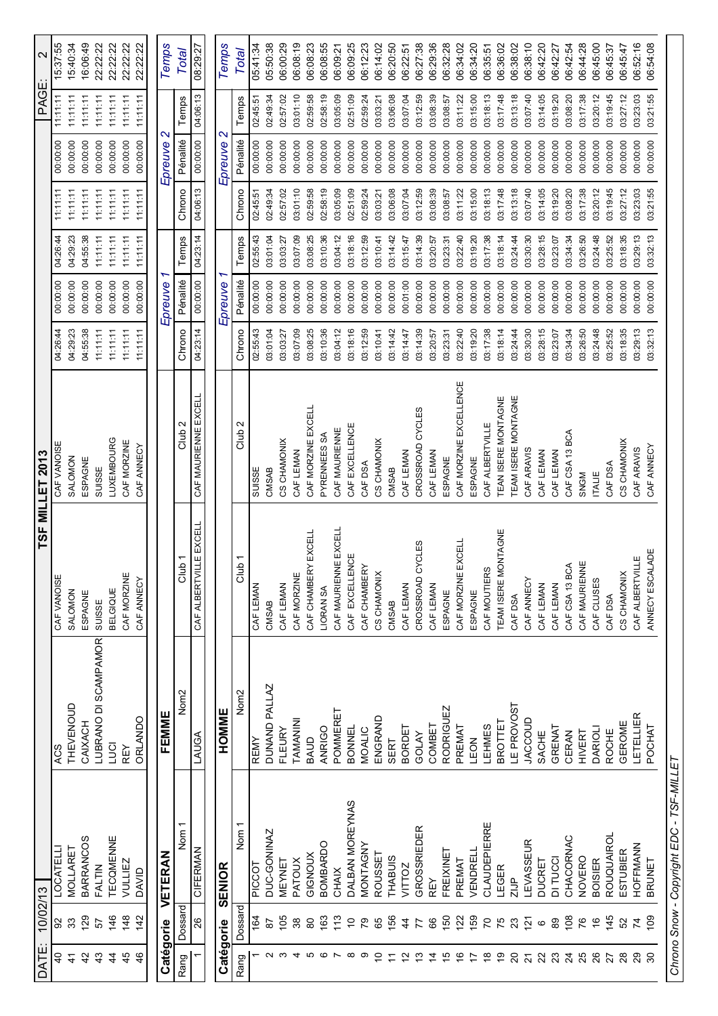| DATE:                   | 10/02/13       |                                          |                      |                                 | TSF MILLET 2013        |          |          |          |          |                              | PAGE:    | $\mathbf{\Omega}$ |
|-------------------------|----------------|------------------------------------------|----------------------|---------------------------------|------------------------|----------|----------|----------|----------|------------------------------|----------|-------------------|
| $\overline{0}$          | 92             | <b>LOCATELLI</b>                         | ACS                  | CAF VANOISE                     | CAF VANOISE            | 04:26:44 | 00:00:00 | 04:26:44 | 11:11:11 | 00:00:00                     | 11:11:11 | 15:37:55          |
| $\frac{4}{3}$           | 33             | <b>MOLLARET</b>                          | THEVENOUD            | SALOMON                         | SALOMON                | 04:29:23 | 00:00:00 | 04:29:23 | 11:11:11 | 00:00:00                     | 11:11:11 | 15:40:34          |
| 42                      | 129            | <b>BARRANCOS</b>                         | CAIXACH              | ESPAGNE                         | ESPAGNE                | 04:55:38 | 00:00:00 | 04:55:38 | 11:11:11 | 00:00:00                     | 11:11:11 | 16:06:49          |
| $\frac{4}{3}$           | 57             | <b>FALTIN</b>                            | LUBRANO DI SCAMPAMOR | SUISSE                          | SUISSE                 | 11:11:11 | 00:00:00 | 11:11:11 | 11:11:11 | 00:00:00                     | 11:11:11 | 22:22:22          |
| $\frac{4}{4}$           | 146            | TECQMENNE                                | <b>LJCI</b>          | <b>BELGIQUE</b>                 | <b>LUXEMBOURG</b>      | 11:11:11 | 00:00:00 | 11:11:11 | 11:11:11 | 00:00:00                     | 11:11:11 | 22:22:22          |
| 45                      | 148            | VULLIEZ                                  | REY                  | CAF MORZINE                     | CAF MORZINE            | 11:11:11 | 00:00:00 | 11:11:11 | 11:11:11 | 00:00:00                     | 11:11:11 | 22:22:22          |
| $\frac{4}{6}$           | 142            | DAVID                                    | <b>ORLANDO</b>       | CAF ANNECY                      | CAF ANNECY             | 11:11:11 | 00:00:00 | 11:11:11 | 11:11:11 | 00:00:00                     | 11:11:11 | 22:22:22          |
|                         |                |                                          |                      |                                 |                        |          |          |          |          |                              |          |                   |
| Catégorie               |                | <b>VETERAN</b>                           | FEMME                |                                 |                        |          | Epreuve  |          |          | $\mathbf{\alpha}$<br>Epreuve |          | Temps             |
| Rang                    | Dossard        | Nom <sup>1</sup>                         | Nom <sub>2</sub>     | Club <sub>1</sub>               | Club :                 | Chrono   | Pénalité | Temps    | Chrono   | Pénalité                     | Temps    | <b>Total</b>      |
|                         | 26             | <b>CIFERMAN</b>                          | LAUGA                | CAF ALBERTVILLE EXCELL          | CAF MAURIENNE EXCELL   | 04:23:14 | 00:00:00 | 04:23:14 | 04:06:13 | 00:00:00                     | 04:06:13 | 08:29:27          |
| Catégorie               |                | SENIOR                                   | HOMME                |                                 |                        |          | Epreuve  |          |          | $\mathbf \alpha$<br>Epreuve  |          | Temps             |
| Rang                    | Dossard        | Nom <sub>1</sub>                         | Nom <sub>2</sub>     | Club <sub>1</sub>               | Club 2                 | Chrono   | Pénalité | Temps    | Chrono   | Pénalité                     | Temps    | <b>Total</b>      |
|                         | 164            | <b>PICCOT</b>                            | REMY                 | CAF LEMAN                       | SUISSE                 | 02:55:43 | 00:00:00 | 02:55:43 | 02:45:51 | 00:00:00                     | 02:45:51 | 05:41:34          |
|                         | 57             | DUC-GONINAZ                              | DUNAND PALLAZ        | CMSAB                           | <b>CMSAB</b>           | 03:01:04 | 00:00:00 | 03:01:04 | 02:49:34 | 00:00:00                     | 02:49:34 | 05:50:38          |
|                         | 105            | MEYNET                                   | FLEURY               | CAF LEMAN                       | CS CHAMONIX            | 03:03:27 | 00:00:00 | 03:03:27 | 02:57:02 | 00:00:00                     | 02:57:02 | 06:00:29          |
|                         | 38             | PATOUX                                   | TAMANINI             | CAF MORZINE                     | CAF LEMAN              | 03:07:09 | 00:00:00 | 03:07:09 | 03:01:10 | 00:00:00                     | 03:01:10 | 06:08:19          |
|                         | 80             | GIGNOUX                                  | BAUD                 | CAF CHAMBERY EXCELL             | CAF MORZINE EXCELL     | 03:08:25 | 00:00:00 | 03:08:25 | 02:59:58 | 00:00:00                     | 02:59:58 | 06:08:23          |
|                         | 163            | <b>BOMBARDO</b>                          | ANRIGO               | LIORAN SA                       | PYRENNEES SA           | 03:10:36 | 00:00:00 | 03:10:36 | 02:58:19 | 00:00:00                     | 02:58:19 | 06:08:55          |
|                         | 13             | CHAIX                                    | POMMERET             | <b>E EXCELL</b><br>CAF MAURIENN | CAF MAURIENNE          | 03:04:12 | 00:00:00 | 03:04:12 | 03:05:09 | 00:00:00                     | 03:05:09 | 06:09:21          |
|                         | $\tilde{c}$    | DALBAN MOREYNAS                          | <b>BONNEL</b>        | CAF EXCELLENCE                  | CAF EXCELLENCE         | 03:18:16 | 00:00:00 | 03:18:16 | 02:51:09 | 00:00:00                     | 02:51:09 | 06:09:25          |
|                         | 79             | MONTAGNY                                 | MOALIC               | CAF CHAMBERY                    | CAF DSA                | 03:12:59 | 00:00:00 | 03:12:59 | 02:59:24 | 00:00:00                     | 02:59:24 | 06:12:23          |
| ₽                       | 89             | <b>ROUSSET</b>                           | ENGRAND              | CS CHAMONIX                     | CS CHAMONIX            | 03:10:41 | 00:00:00 | 03:10:41 | 03:03:21 | 00:00:00                     | 03:03:21 | 06:14:02          |
| Ξ                       | 156            | <b>THABUIS</b>                           | SERT                 | CMSAB                           | <b>CMSAB</b>           | 03:14:42 | 00:00:00 | 03:14:42 | 03:06:08 | 00:00:00                     | 03:06:08 | 06:20:50          |
| 5                       | $\frac{4}{4}$  | VITTOZ                                   | <b>BORDET</b>        | CAF LEMAN                       | CAF LEMAN              | 03:14:47 | 00:01:00 | 03:15:47 | 03:07:04 | 00:00:00                     | 03:07:04 | 06:22:51          |
| ဗု                      | 77             | GROSSRIEDER                              | GOLAY                | CROSSROAD CYCLES                | CROSSROAD CYCLES       | 03:14:39 | 00:00:00 | 03:14:39 | 03:12:59 | 00:00:00                     | 03:12:59 | 06:27:38          |
| $\tilde{4}$             | 66             | <b>REY</b>                               | COMBET               | CAF LEMAN                       | CAF LEMAN              | 03:20:57 | 00:00:00 | 03:20:57 | 03:08:39 | 00:00:00                     | 03:08:39 | 06:29:36          |
| 5                       | 150            | FREIXINET                                | <b>RODRIGUEZ</b>     | ESPAGNE                         | ESPAGNE                | 03:23:31 | 00:00:00 | 03:23:31 | 03:08:57 | 00:00:00                     | 03:08:57 | 06:32:28          |
| $\frac{6}{5}$           | $\overline{2}$ | PREMAT                                   | PREMAT               | CAF MORZINE EXCELL              | CAF MORZINE EXCELLENCE | 03:22:40 | 00:00:00 | 03:22:40 | 03:11:22 | 00:00:00                     | 03:11:22 | 06:34:02          |
| $\overline{1}$          | 159            | VENDRELL                                 | LEON                 | ESPAGNE                         | ESPAGNE                | 03:19:20 | 00:00:00 | 03:19:20 | 03:15:00 | 00:00:00                     | 03:15:00 | 06:34:20          |
| ᢟ                       | $\overline{C}$ | CLAUDEPIERRE                             | LEHMES               | CAF MOUTIERS                    | CAF ALBERTVILLE        | 03:17:38 | 00:00:00 | 03:17:38 | 03:18:13 | 00:00:00                     | 03:18:13 | 06:35:51          |
| စ္                      | 75             | LEGER                                    | <b>BROTTET</b>       | TEAM ISERE MONTAGNE             | TEAN ISERE MONTAGNE    | 03:18:14 | 00:00:00 | 03:18:14 | 03:17:48 | 00:00:00                     | 03:17:48 | 06:36:02          |
| $\overline{c}$          | 23             | ZI                                       | LE PROVOST           | CAF DSA                         | TEAM ISERE MONTAGNE    | 03:24:44 | 00:00:00 | 03:24:44 | 03:13:18 | 00:00:00                     | 03:13:18 | 06:38:02          |
| $\overline{\mathbf{z}}$ | $\overline{5}$ | LEVASSEUR                                | JACCOUD              | CAF ANNECY                      | CAF ARAVIS             | 03:30:30 | 00:00:00 | 03:30:30 | 03:07:40 | 00:00:00                     | 03:07:40 | 06:38:10          |
| 22                      | $\pmb{\circ}$  | <b>DUCRET</b>                            | SACHE                | CAF LEMAN                       | CAF LEMAN              | 03:28:15 | 00:00:00 | 03:28:15 | 03:14:05 | 00:00:00                     | 03:14:05 | 06:42:20          |
| 23                      | 89             | DI TUCCI                                 | GRENAT               | CAF LEMAN                       | CAF LEMAN              | 03:23:07 | 00:00:00 | 03:23:07 | 03:19:20 | 00:00:00                     | 03:19:20 | 06:42:27          |
| $\overline{24}$         | 108            | CHACORNAC                                | CERAN                | CAF CSA 13 BCA                  | CAF CSA 13 BCA         | 03:34:34 | 00:00:00 | 03:34:34 | 03:08:20 | 00:00:00                     | 03:08:20 | 06:42:54          |
| 25                      | 76             | NOVERO                                   | <b>HIVERT</b>        | CAF MAURIENNE                   | <b>SNGM</b>            | 03:26:50 | 00:00:00 | 03:26:50 | 03:17:38 | 00:00:00                     | 03:17:38 | 06:44:28          |
| 26                      | $\frac{6}{5}$  | <b>BOISIER</b>                           | <b>DARIOLI</b>       | CAF CLUSES                      | <b>ITALIE</b>          | 03:24:48 | 00:00:00 | 03:24:48 | 03:20:12 | 00:00:00                     | 03:20:12 | 06:45:00          |
| 27                      | 145            | ROUQUAIROL                               | <b>ROCHE</b>         | CAF DSA                         | CAF DSA                | 03:25:52 | 00:00:00 | 03:25:52 | 03:19:45 | 00:00:00                     | 03:19:45 | 06:45:37          |
| 28                      | S <sub>2</sub> | ESTUBIER                                 | GEROME               | CS CHAMONIX                     | CS CHAMONIX            | 03:18:35 | 00:00:00 | 03:18:35 | 03:27:12 | 00:00:00                     | 03:27:12 | 06:45:47          |
| 29                      |                | HOFFMANN                                 | LETELLIER            | CAF ALBERTVILLE                 | CAF ARAVIS             | 03:29:13 | 00:00:00 | 03:29:13 | 03:23:03 | 00:00:00                     | 03:23:03 | 06:52:16          |
| వి                      | 109            | BRUNET                                   | POCHAT               | ANNECY ESCALADE                 | CAF ANNECY             | 03:32:13 | 00:00:00 | 03:32:13 | 03:21:55 | 00:00:00                     | 03:21:55 | 06:54:08          |
|                         |                | Chrono Snow - Copyright EDC - TSF-MILLET |                      |                                 |                        |          |          |          |          |                              |          |                   |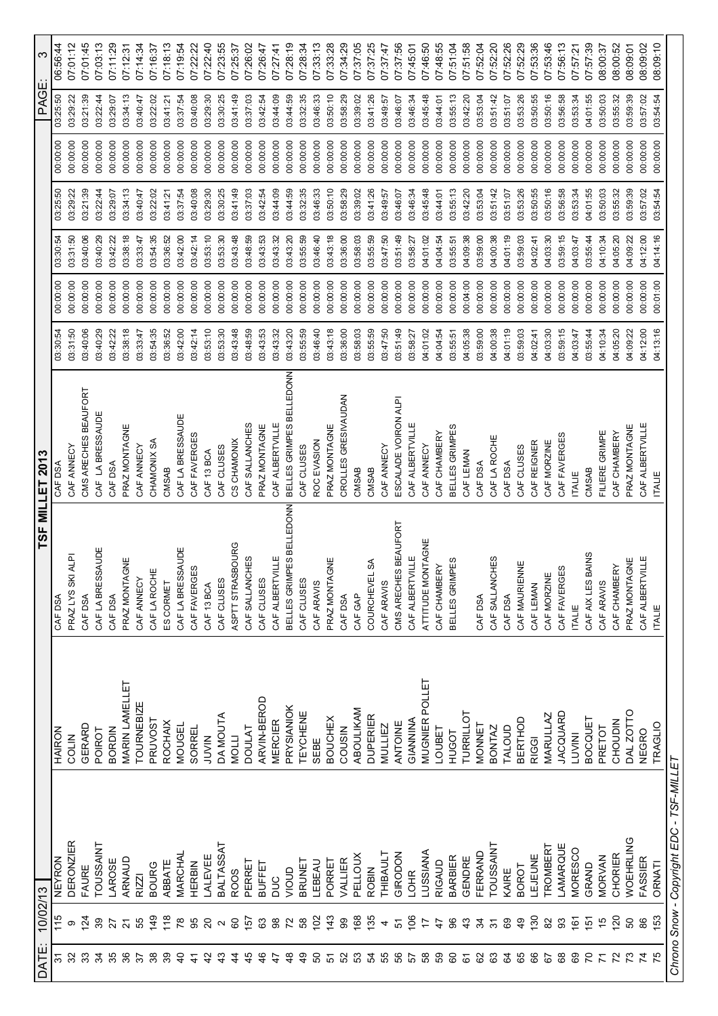| DATE:  | 10/02/13            |                                          |                       |                                  | TSF MILLET 2013          |          |          |          |          |          | PAGE:    | $\boldsymbol{\varsigma}$ |
|--------|---------------------|------------------------------------------|-----------------------|----------------------------------|--------------------------|----------|----------|----------|----------|----------|----------|--------------------------|
| 21     |                     | <b>NEYRON</b>                            | HAIRON                | CAF DSA                          | CAF DSA                  | 03:30:54 | 00:00:00 | 03:30:54 | 03:25:50 | 00:00:00 | 03:25:50 | 06:56:44                 |
| 32     | ω                   | <b>DERONZIER</b>                         | COLIN                 | PRAZ LYS SKI ALPI                | CAF ANNECY               | 03:31:50 | 00:00:00 | 03:31:50 | 03:29:22 | 00:00:00 | 03:29:22 | 07:01:12                 |
| 33     | $\overline{24}$     | FAURE                                    | GERARD                | CAF DSA                          | CMS ARECHES BEAUFORT     | 03:40:06 | 00:00:00 | 03:40:06 | 03:21:39 | 00:00:00 | 03:21:39 | 07:01:45                 |
| 34     | 39                  | <b>TOUSSAINT</b>                         | <b>POIROT</b>         | CAF LA BRESSAUDE                 | CAF LA BRESSAUDE         | 03:40:29 | 00:00:00 | 03:40:29 | 03:22:44 | 00:00:00 | 03:22:44 | 07:03:13                 |
| 35     | 27                  | LAROSE                                   | <b>BORDIN</b>         | CAF DSA                          | CAF DSA                  | 03:42:22 | 00:00:00 | 03:42:22 | 03:29:07 | 00:00:00 | 03:29:07 | 07:11:29                 |
| 36     | 21                  | ARNAUD                                   | <b>MARIN LAMELLET</b> | PRAZ MONTAGNE                    | PRAZ MONTAGNE            | 03:38:18 | 00:00:00 | 03:38:18 | 03:34:13 | 00:00:00 | 03:34:13 | 07:12:31                 |
| 57     | 55                  | <b>RIZZI</b>                             | <b>TOURNEBIZE</b>     | CAF ANNECY                       | CAF ANNECY               | 03:33:47 | 00:00:00 | 03:33:47 | 03:40:47 | 00:00:00 | 03:40:47 | 07:14:34                 |
|        | $\frac{9}{4}$       | <b>BOURG</b>                             | <b>PRUVOST</b>        | CAF LA ROCHE                     | CHAMONIX SA              | 03:54:35 | 00:00:00 | 03:54:35 | 03:22:02 | 00:00:00 | 03:22:02 | 07:16:37                 |
|        | $\frac{8}{18}$      | ABBATE                                   | <b>ROCHAIX</b>        | ES CORMET                        | CMSAB                    | 03:36:52 | 00:00:00 | 03:36:52 | 03:41:21 | 00:00:00 | 03:41:21 | 07:18:13                 |
|        | 78                  | MARCHAL                                  | <b>MOUGEL</b>         | CAF LA BRESSAUDE                 | CAF LA BRESSAUDE         | 03:42:00 | 00:00:00 | 03:42:00 | 03:37:54 | 00:00:00 | 03:37:54 | 07:19:54                 |
|        | 95                  | HERBIN                                   | SORREL                | ဖ<br>CAF FAVERGE                 | CAF FAVERGES             | 03:42:14 | 00:00:00 | 03:42:14 | 03:40:08 | 00:00:00 | 03:40:08 | 07:22:22                 |
|        | $\Omega$            | LALEVEE                                  | NINT                  | CAF 13 BCA                       | CAF 13 BCA               | 03:53:10 | 00:00:00 | 03:53:10 | 03:29:30 | 00:00:00 | 03:29:30 | 07:22:40                 |
|        | $\sim$              | <b>BALTASSAT</b>                         | DA MOUTA              | CAF CLUSES                       | CAF CLUSES               | 03:53:30 | 00:00:00 | 03:53:30 | 03:30:25 | 00:00:00 | 03:30:25 | 07:23:55                 |
|        | 60                  | <b>ROOS</b>                              | <b>NOLL</b>           | ASPTT STRASBOURG                 | CS CHAMONIX              | 03:43:48 | 00:00:00 | 03:43:48 | 03:41:49 | 00:00:00 | 03:41:49 | 07:25:37                 |
|        | 157                 | <b>PERRET</b>                            | <b>DOULAT</b>         | CAF SALLANCHES                   | CAF SALLANCHES           | 03:48:59 | 00:00:00 | 03:48:59 | 03:37:03 | 00:00:00 | 03:37:03 | 07:26:02                 |
|        | යි                  | BUFFET                                   | ARVIN-BEROD           | CAF CLUSES                       | PRAZ MONTAGNE            | 03:43:53 | 00:00:00 | 03:43:53 | 03:42:54 | 00:00:00 | 03:42:54 | 07:26:47                 |
|        | $_{\rm 98}^{\rm 8}$ | pnc                                      | <b>MERCIER</b>        | CAF ALBERTVILLE                  | CAF ALBERTVILLE          | 03:43:32 | 00:00:00 | 03:43:32 | 03:44:09 | 00:00:00 | 03:44:09 | 07:27:41                 |
|        | 72                  | JION                                     | PRYSIANIOK            | BELLES GRIMPES BELLEDONN         | BELLES GRIMPES BELLEDONN | 03:43:20 | 00:00:00 | 03:43:20 | 03:44:59 | 00:00:00 | 03:44:59 | 07:28:19                 |
| q<br>4 | 58                  | BRUNET                                   | TEYCHENE              | CAF CLUSES                       | CAF CLUSES               | 03:55:59 | 00:00:00 | 03:55:59 | 03:32:35 | 00:00:00 | 03:32:35 | 07:28:34                 |
| ន      | 102                 | LEBEAU                                   | SEBE                  | CAF ARAVIS                       | ROC EVASION              | 03:46:40 | 00:00:00 | 03:46:40 | 03:46:33 | 00:00:00 | 03:46:33 | 07:33:13                 |
|        | 143                 | PORRET                                   | <b>BOUCHEX</b>        | PRAZ MONTAGNE                    | PRAZ MONTAGNE            | 03:43:18 | 00:00:00 | 03:43:18 | 03:50:10 | 00:00:00 | 03:50:10 | 07:33:28                 |
| S2     | 99                  | VALLIER                                  | COUSIN                | CAF DSA                          | CROLLES GRESIVAUDAN      | 03:36:00 | 00:00:00 | 03:36:00 | 03:58:29 | 00:00:00 | 03:58:29 | 07:34:29                 |
| က္က    | 168                 | PELLOUX                                  | ABOULIKAM             | CAF GAP                          | CMSAB                    | 03:58:03 | 00:00:00 | 03:58:03 | 03:39:02 | 00:00:00 | 03:39:02 | 07:37:05                 |
| 54     | 135                 | <b>ROBIN</b>                             | <b>DUPERIER</b>       | $\mathbb S$<br><b>COURCHEVEL</b> | CMSAB                    | 03:55:59 | 00:00:00 | 03:55:59 | 03:41:26 | 00:00:00 | 03:41:26 | 07:37:25                 |
| 55     | 4                   | THIBAULT                                 | <b>MULLIEZ</b>        | CAF ARAVIS                       | CAF ANNECY               | 03:47:50 | 00:00:00 | 03:47:50 | 03:49:57 | 00:00:00 | 03:49:57 | 07:37:47                 |
| 65     | 5                   | GIRODON                                  | ANTOINE               | CMS ARECHES BEAUFORT             | ESCALADE VOIRON ALPI     | 03:51:49 | 00:00:00 | 03:51:49 | 03:46:07 | 00:00:00 | 03:46:07 | 07:37:56                 |
| 57     | 106                 | <b>LOHR</b>                              | GIANNINA              | CAF ALBERTVILLE                  | CAF ALBERTVILLE          | 03:58:27 | 00:00:00 | 03:58:27 | 03:46:34 | 00:00:00 | 03:46:34 | 07:45:01                 |
| 89     |                     | <b>LUSSIANA</b>                          | <b>MUGNIER POLLET</b> | ATTITUDE MONTAGNE                | CAF ANNECY               | 04:01:02 | 00:00:00 | 04:01:02 | 03:45:48 | 00:00:00 | 03:45:48 | 07:46:50                 |
| 65     | 4                   | <b>RIGAUD</b>                            | LOUBET                | CAF CHAMBERY                     | CAF CHAMBERY             | 04:04:54 | 00:00:00 | 04:04:54 | 03:44:01 | 00:00:00 | 03:44:01 | 07:48:55                 |
| 8      | 96                  | <b>BARBIER</b>                           | <b>HUGOT</b>          | BELLES GRIMPES                   | BELLES GRIMPES           | 03:55:51 | 00:00:00 | 03:55:51 | 03:55:13 | 00:00:00 | 03:55:13 | 07:51:04                 |
| 6      | $\frac{4}{3}$       | GENDRE                                   | TURRILLOT             |                                  | CAF LEMAN                | 04:05:38 | 00:04:00 | 04:09:38 | 03:42:20 | 00:00:00 | 03:42:20 | 07:51:58                 |
| 8      | 24                  | FERRAND                                  | <b>MONNET</b>         | CAF DSA                          | CAF DSA                  | 03:59:00 | 00:00:00 | 03:59:00 | 03:53:04 | 00:00:00 | 03:53:04 | 07:52:04                 |
| යි     | $\frac{1}{3}$       | TOUSSAINT                                | BONTAZ                | CAF SALLANCHES                   | CAF LA ROCHE             | 04:00:38 | 00:00:00 | 04:00:38 | 03:51:42 | 00:00:00 | 03:51:42 | 07:52:20                 |
| S      | 89                  | KAIRE                                    | TALOUD                | CAF DSA                          | CAF DSA                  | 04:01:19 | 00:00:00 | 04:01:19 | 03:51:07 | 00:00:00 | 03:51:07 | 07:52:26                 |
| 89     | $\frac{6}{7}$       | <b>BOROT</b>                             | BERTHOD               | CAF MAURIENNE                    | CAF CLUSES               | 03:59:03 | 00:00:00 | 03:59:03 | 03:53:26 | 00:00:00 | 03:53:26 | 07:52:29                 |
| 89     | 130                 | LEJEUNE                                  | <b>RIGGI</b>          | CAF LEMAN                        | CAF REIGNER              | 04:02:41 | 00:00:00 | 04:02:41 | 03:50:55 | 00:00:00 | 03:50:55 | 07:53:36                 |
| 67     | 82                  | <b>TROMBERT</b>                          | MARULLAZ              | CAF MORZINE                      | CAF MORZINE              | 04:03:30 | 00:00:00 | 04:03:30 | 03:50:16 | 00:00:00 | 03:50:16 | 07:53:46                 |
| 8      | 93                  | LAMARQUE                                 | <b>JACQUARD</b>       | S<br>CAF FAVERGE                 | CAF FAVERGES             | 03:59:15 | 00:00:00 | 03:59:15 | 03:56:58 | 00:00:00 | 03:56:58 | 07:56:13                 |
| 89     | $\frac{6}{16}$      | MORESCO                                  | LUVINI                | <b>ITALIE</b>                    | <b>ITALIE</b>            | 04:03:47 | 00:00:00 | 04:03:47 | 03:53:34 | 00:00:00 | 03:53:34 | 07:57:21                 |
| 20     | 151                 | GRAND                                    | BOCQUET               | CAF AIX LES BAINS                | <b>CMSAB</b>             | 03:55:44 | 00:00:00 | 03:55:44 | 04:01:55 | 00:00:00 | 04:01:55 | 07:57:39                 |
|        | 10                  | <b>MORVAN</b>                            | PRETOT                | CAF ARAVIS                       | FILIERE GRIMPE           | 04:10:34 | 00:00:00 | 04:10:34 | 03:50:03 | 00:00:00 | 03:50:03 | 08:00:37                 |
|        | 120                 | CHORIER                                  | CHOUDIN               | CAF CHAMBERY                     | CAF CHAMBERY             | 04:05:20 | 00:00:00 | 04:05:20 | 03:55:32 | 00:00:00 | 03:55:32 | 08:00:52                 |
|        | 8                   | <b>WOEHRLING</b>                         | DAL ZOTTO             | PRAZ MONTAGNE                    | PRAZ MONTAGNE            | 04:09:22 | 00:00:00 | 04:09:22 | 03:59:39 | 00:00:00 | 03:59:39 | 08:09:01                 |
|        | 86                  | <b>FASSIER</b>                           | <b>NEGRO</b>          | CAF ALBERTVILLE                  | CAF ALBERTVILLE          | 04:12:00 | 00:00:00 | 04:12:00 | 03:57:02 | 00:00:00 | 03:57:02 | 08:09:02                 |
|        | 153                 | ORNATI                                   | <b>TRAGLIO</b>        | <b>ITALIE</b>                    | <b>ITALIE</b>            | 04:13:16 | 00:01:00 | 04:14:16 | 03:54:54 | 00:00:00 | 03:54:54 | 08:09:10                 |
|        |                     | Chrono Snow - Copyright EDC - TSF-MILLET |                       |                                  |                          |          |          |          |          |          |          |                          |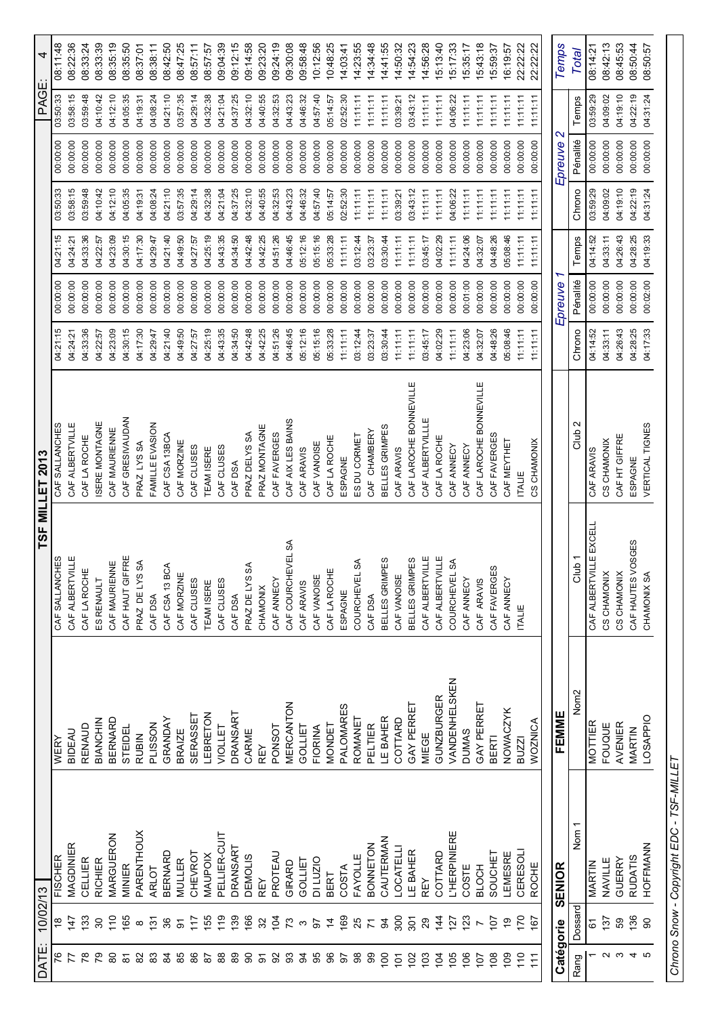| 4               | 08:11:48       | 08:22:36        | 08:33:24        | 08:33:39        | 08:35:19      | 08:35:50            | 08:37:01       | 08:38:11        | 08:42:50       | 08:47:25      | 08:57:11   | 08:57:57          | 09:04:39       | 09:12:15        | 09:14:58       | 09:23:20       | 09:24:19      | 09:30:08          | 09:58:48       | 10:12:56    | 10:48:25      | 14:03:41  | 14:23:55                | 14:34:48        | 14:41:55         | 14:50:32         | 14:54:23               | 14:56:28         | 15:13:40          | 15:17:33                         | 15:35:17     | 15:43:18               | 15:59:37         | 16:19:57        | 22:22:22        | 22:22:22        | Temps                        | <b>Total</b>      | 08:14:21                   | 08:42:13    | 08:45:53      | 08:50:44          | 08:50:57        |
|-----------------|----------------|-----------------|-----------------|-----------------|---------------|---------------------|----------------|-----------------|----------------|---------------|------------|-------------------|----------------|-----------------|----------------|----------------|---------------|-------------------|----------------|-------------|---------------|-----------|-------------------------|-----------------|------------------|------------------|------------------------|------------------|-------------------|----------------------------------|--------------|------------------------|------------------|-----------------|-----------------|-----------------|------------------------------|-------------------|----------------------------|-------------|---------------|-------------------|-----------------|
| PAGE:           | 03:50:33       | 03:58:15        | 03:59:48        | 04:10:42        | 04:12:10      | 04:05:35            | 04:19:31       | 04:08:24        | 04:21:10       | 03:57:35      | 04:29:14   | 04:32:38          | 04:21:04       | 04:37:25        | 04:32:10       | 04:40:55       | 04:32:53      | 04:43:23          | 04:46:32       | 04:57:40    | 05:14:57      | 02:52:30  | 11:11:11                | 11:11:11        | 11:11:11         | 03:39:21         | 03:43:12               | 11:11:11         | 11:11:11          | 04:06:22                         | 11:11:11     | 11:11:11               | 11:11:11         | 11:11:11        | 11:11:11        | 11:11:11        |                              | Temps             | 03:59:29                   | 04:09:02    | 04:19:10      | 04:22:19          | 04:31:24        |
|                 | 00:00:00       | 00:00:00        | 00:00:00        | 00:00:00        | 00:00:00      | 00:00:00            | 00:00:00       | 00:00:00        | 00:00:00       | 00:00:00      | 00:00:00   | 00:00:00          | 00:00:00       | 00:00:00        | 00:00:00       | 00:00:00       | 00:00:00      | 00:00:00          | 00:00:00       | 00:00:00    | 00:00:00      | 00:00:00  | 00:00:00                | 00:00:00        | 00:00:00         | 00:00:00         | 00:00:00               | 00:00:00         | 00:00:00          | 00:00:00                         | 00:00:00     | 00:00:00               | 00:00:00         | 00:00:00        | 00:00:00        | 00:00:00        | $\mathbf{\Omega}$<br>Epreuve | Pénalité          | 00:00:00                   | 00:00:00    | 00:00:00      | 00:00:00          | 00:00:00        |
|                 | 03:50:33       | 03:58:15        | 03:59:48        | 04:10:42        | 04:12:10      | 04:05:35            | 04:19:31       | 04:08:24        | 04:21:10       | 03:57:35      | 04:29:14   | 04:32:38          | 04:21:04       | 04:37:25        | 04:32:10       | 04:40:55       | 04:32:53      | 04:43:23          | 04:46:32       | 04:57:40    | 05:14:57      | 02:52:30  | 11:11:11                | 11:11:11        | 11:11:11         | 03:39:21         | 03:43:12               | 11:11:11         | 11:11:11          | 04:06:22                         | 11:11:11     | 11:11:11               | 11:11:11         | 11:11:11        | 11:11:11        | 11:11:11        |                              | Chrono            | 03:59:29                   | 04:09:02    | 04:19:10      | 04:22:19          | 04:31:24        |
|                 | 04:21:15       | 04:24:21        | 04:33:36        | 04:22:57        | 04:23:09      | 04:30:15            | 04:17:30       | 04:29:47        | 04:21:40       | 04:49:50      | 04:27:57   | 04:25:19          | 04:43:35       | 04:34:50        | 04:42:48       | 04:42:25       | 04:51:26      | 04:46:45          | 05:12:16       | 05:15:16    | 05:33:28      | 11:11:11  | 03:12:44                | 03:23:37        | 03:30:44         | 11:11:11         | 11:11:11               | 03:45:17         | 04:02:29          | 11:11:11                         | 04:24:06     | 04:32:07               | 04:48:26         | 05:08:46        | 11:11:11        | 11:11:11        |                              | Temps             | 04:14:52                   | 04:33:11    | 04:26:43      | 04:28:25          | 04:19:33        |
|                 | 00:00:00       | 00:00:00        | 00:00:00        | 00:00:00        | 00:00:00      | 00:00:00            | 00:00:00       | 00:00:00        | 00:00:00       | 00:00:00      | 00:00:00   | 00:00:00          | 00:00:00       | 00:00:00        | 00:00:00       | 00:00:00       | 00:00:00      | 00:00:00          | 00:00:00       | 00:00:00    | 00:00:00      | 00:00:00  | 00:00:00                | 00:00:00        | 00:00:00         | 00:00:00         | 00:00:00               | 00:00:00         | 00:00:00          | 00:00:00                         | 00:01:00     | 00:00:00               | 00:00:00         | 00:00:00        | 00:00:00        | 00:00:00        | Epreuve                      | Pénalité          | 00:00:00                   | 00:00:00    | 00:00:00      | 00:00:00          | 00:02:00        |
|                 | 04:21:15       | 04:24:21        | 04:33:36        | 04:22:57        | 04:23:09      | 04:30:15            | 04:17:30       | 04:29:47        | 04:21:40       | 04:49:50      | 04:27:57   | 04:25:19          | 04:43:35       | 04:34:50        | 04:42:48       | 04:42:25       | 04:51:26      | 04:46:45          | 05:12:16       | 05:15:16    | 05:33:28      | 11:11:11  | 03:12:44                | 03:23:37        | 03:30:44         | 11:11:11         | 11:11:11               | 03:45:17         | 04:02:29          | 11:11:11                         | 04:23:06     | 04:32:07               | 04:48:26         | 05:08:46        | 11:11:11        | 11:11:11        |                              | Chrono            | 04:14:52                   | 04:33:11    | 04:26:43      | 04:28:25          | 04:17:33        |
| TSF MILLET 2013 | CAF SALLANCHES | CAF ALBERTVILLE | CAF LA ROCHE    | SERE MONTAGNE   | CAF MAURIENNE | CAF GRESIVAUDAN     | PRAZ LYS SA    | FAMILLE EVASION | CAF CSA 13BCA  | CAF MORZINE   | CAF CLUSES | <b>TEAM ISERE</b> | CAF CLUSES     | CAF DSA         | PRAZ DELYS SA  | PRAZ MONTAGNE  | CAF FAVERGES  | CAF AIX LES BAINS | CAF ARAVIS     | CAF VANOISE | CAF LA ROCHE  | ESPAGNE   | ES DU CORMET            | CAF CHAMBERY    | BELLES GRIMPES   | CAF ARAVIS       | CAF LAROCHE BONNEVILLE | CAF ALBERTVILLLE | CAF LA ROCHE      | CAF ANNECY                       | CAF ANNECY   | CAF LAROCHE BONNEVILLE | CAF FAVERGES     | CAF MEYTHET     | <b>ITALIE</b>   | CS CHAMONIX     |                              | Ν<br>Club.        | CAF ARAVIS                 | CS CHAMONIX | CAF HT GIFFRE | ESPAGNE           | VERTICAL TIGNES |
|                 | CAF SALLANCHES | CAF ALBERTVILLE | CAF LA ROCHE    | ES RENAULT      | CAF MAURIENNE | CAF HAUT GIFFRE     | PRAZ DE LYS SA | CAF DSA         | CAF CSA 13 BCA | CAF MORZINE   | CAF CLUSES | <b>TEAM ISERE</b> | CAF CLUSES     | CAF DSA         | PRAZ DE LYS SA | CHAMONIX       | CAF ANNECY    | CAF COURCHEVEL SA | CAF ARAVIS     | CAF VANOISE | CAF LA ROCHE  | ESPAGNE   | SA<br><b>COURCHEVEL</b> | CAF DSA         | BELLES GRIMPES   | CAF VANOISE      | BELLES GRIMPES         | CAF ALBERTVILLE  | CAF ALBERTVILLE   | $\mathbb S$<br><b>COURCHEVEL</b> | CAF ANNECY   | CAF ARAVIS             | လ<br>CAF FAVERGE | CAF ANNECY      | <b>ITALIE</b>   |                 |                              | Club <sub>1</sub> | ITE EXCEIT<br>CAF ALBERTVI | CS CHAMONIX | CS CHAMONIX   | CAF HAUTES VOSGES | CHAMONIX SA     |
|                 | WERY           | BIDEAU          | RENAUD          | BIANCHIN        | BERNARD       | STEIDEL             | <b>RUBIN</b>   | <b>PLISSON</b>  | GRANDAY        | <b>BRAIZE</b> | SERASSET   | LEBRETON          | <b>VIOLLET</b> | DRANSART        | CARME          | <b>REY</b>     | <b>PONSOT</b> | NO1<br>MERCANT    | GOLLIET        | FIORINA     | <b>MONDET</b> | PALOMARES | ROMANET                 | PELTIER         | LE BAHER         | COTTARD          | <b>GAY PERRET</b>      | MIEGE            | <b>GUNZBURGER</b> | <b>VANDENHELSKEN</b>             | <b>DUMAS</b> | GAY PERRET             | <b>BERTI</b>     | <b>NOWACZYK</b> | BUZZI           | <b>WOZNICA</b>  | FEMME                        | Nom <sub>2</sub>  | MOTTIER                    | FOUQUE      | AVENIER       | MARTIN            | LOSAPPIO        |
|                 | <b>FISCHER</b> | MAGDINIER       | CELLIER         | <b>RICHIER</b>  | MARGUERON     | MINIER              | PARENTHOUX     | <b>ARLOT</b>    | BERNARD        | <b>MULLER</b> | CHEVROT    | MAUPOIX           | PELLIER-CUIT   | <b>DRANSART</b> | <b>DEMOLIS</b> | REY            | PROTEAU       | GIRARD            | <b>GOLLIET</b> | DI LUZIO    | <b>BERT</b>   | COSTA     | <b>FAYOLLE</b>          | <b>BONNETON</b> | CAUTERMAN        | <b>LOCATELLI</b> | LE BAHER               | REY              | COTTARD           | <b>L'HERPINIERE</b>              | COSTE        | <b>BLOCH</b>           | SOUCHET          | LEMESRE         | <b>CERESOLI</b> | <b>ROCHE</b>    | <b>SENIOR</b>                | Nom <sub>1</sub>  | <b>MARTIN</b>              | NAVILLE     | GUERRY        | <b>RUDATIS</b>    | HOFFMANN        |
| 10/02/13        |                | 147             | 133             | $\overline{30}$ | $\frac{0}{1}$ | 165                 | $\infty$       | $\overline{5}$  | 36             | ଚ             | 117        | 155               | 19             | 139             | 166            | 32             | 104           | 73                | S              | 5           | $\frac{1}{4}$ | <b>69</b> | 25                      | $\overline{r}$  | 3                | $\frac{8}{2}$    | 301                    | 29               | $\frac{44}{3}$    | 127                              | 123          | $\overline{ }$         | ē                | စ္              | 170             | $\overline{67}$ | Catégorie                    | Dossard           | 67                         | 137         | 59            | 136               | 8               |
| DATE:           | 76             | 77              | $\overline{78}$ | 79              | 80            | $\overline{\infty}$ | 2              | 33              | $\frac{8}{4}$  | 85            | 88         | 56                | 88             | 89              | 8              | $\overline{5}$ | 92            | 93                | $\mathfrak{A}$ | 95          | 8             | 5         | 88                      | 8               | $\frac{100}{20}$ | ģ                | 102                    | 103              | $\overline{5}$    | 105                              | 106          | 107                    | 108              | 109             | 110             | Ξ               |                              | Rang              |                            |             | S             | 4                 | Ю               |

Chrono Snow - Copyright EDC - TSF-MILLET Chrono Snow - Copyright EDC - TSF-MILLET